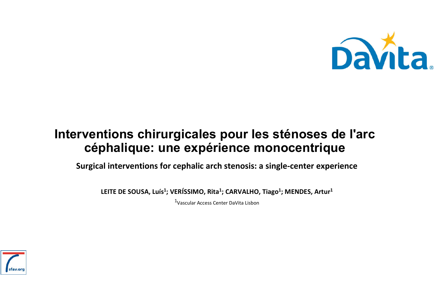

#### Interventions chirurgicales pour les sténoses de l'arc céphalique: une expérience monocentrique

**Surgical interventions for cephalic arch stenosis: a single-center experience**

LEITE DE SOUSA, Luís<sup>1</sup>; VERÍSSIMO, Rita<sup>1</sup>; CARVALHO, Tiago<sup>1</sup>; MENDES, Artur<sup>1</sup>

1Vascular Access Center DaVita Lisbon

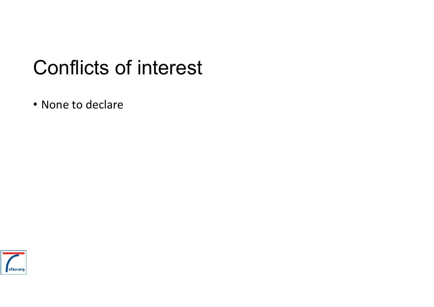## Conflicts of interest

• None to declare

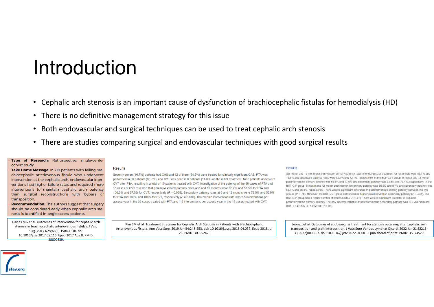### Introduction

- Cephalic arch stenosis is an important cause of dysfunction of brachiocephalic fistulas for hemodialysis (HD)
- There is no definitive management strategy for this issue
- Both endovascular and surgical techniques can be used to treat cephalic arch stenosis
- There are studies comparing surgical and endovascular techniques with good surgical results

#### Type of Research: Retrospective, single-center cohort study

Take Home Message: In 219 patients with failing brachiocephalic arteriovenous fistula who underwent intervention at the cephalic arch, endovascular interventions had higher failure rates and required more interventions to maintain cephalic arch patency than surgical reconstructions with bypass or transposition.

Recommendation: The authors suggest that surgery should be considered early when cephalic arch stenosis is identified in angioaccess patients.

Davies MG et al. Outcomes of intervention for cephalic arch stenosis in brachiocephalic arteriovenous fistulas. J Vasc Surg. 2017 Nov;66(5):1504-1510. doi: 10.1016/j.jvs.2017.05.116. Epub 2017 Aug 8. PMID:  $28800839$ 

#### **Results**

Seventy-seven (16.7%) patients had CAS and 42 of them (54.5%) were treated for clinically significant CAS. PTA was performed in 36 patients (85.7%), and CVT was done in 6 patients (14.3%) as the initial treatment. Nine patients underwent CVT after PTA, resulting in a total of 15 patients treated with CVT. Investigation of the patency of the 36 cases of PTA and 15 cases of CVT revealed that primary-assisted patency rates at 6 and 12 months were 68.2% and 57.3% for PTA and 100.0% and 87.5% for CVT, respectively (P = 0.038). Secondary patency rates at 6 and 12 months were 72.0% and 56.9% for PTA and 100% and 100% for CVT, respectively ( $P = 0.010$ ). The median intervention rate was 2.5 interventions per access-year in the 36 cases treated with PTA and 1.5 interventions per access-year in the 15 cases treated with CVT.

Kim SM et al. Treatment Strategies for Cephalic Arch Stenosis in Patients with Brachiocephalic Arteriovenous Fistula. Ann Vasc Surg. 2019 Jan;54:248-253. doi: 10.1016/j.avsg.2018.04.037. Epub 2018 Jul 26. PMID: 30055242.

#### Results

Six-month and 12-month postintervention primary patency rates of endovascular treatment for restenosis were 56.7% and 15.6% and secondary patency rates were 89.7% and 72.1%, respectively. In the BCF-CVT group, 6-month and 12-month postintervention primary patency was 56.8% and 17.6% and secondary patency was 93.3% and 79.4%, respectively. In the BCF-GIP group, 6-month and 12-month postintervention primary patency was 56.5% and 8.7% and secondary patency was 85.7% and 56.3%, respectively. There was no significant difference in postintervention primary patency between the two groups ( $P = .79$ ). However, the BCF-CVT group demonstrated higher postintervention secondary patency ( $P = .034$ ). The BCF-GIP group had a higher number of stenosis sites (P < .01). There was no significant predictor of reduced postintervention primary patency. The only adverse variable of postintervention secondary patency was BCF-GIP (hazard ratio, 3.14; 95% Cl. 1.06-9.34; P < .05).

Jeong J et al. Outcomes of endovascular treatment for stenosis occurring after cephalic vein transposition and graft interposition. J Vasc Surg Venous Lymphat Disord. 2022 Jan 21:S2213- 333X(22)00056-7. doi: 10.1016/j.jvsv.2022.01.001. Epub ahead of print. PMID: 35074520.

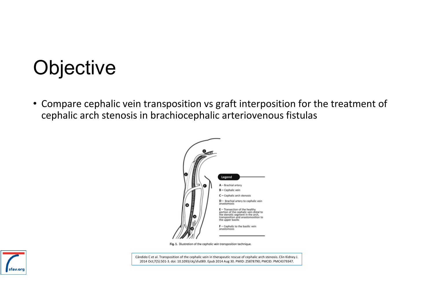# **Objective**

• Compare cephalic vein transposition vs graft interposition for the treatment of cephalic arch stenosis in brachiocephalic arteriovenous fistulas



Fig. 1. Illustration of the cephalic vein transposition technique.

Cândido C et al. Transposition of the cephalic vein in therapeutic rescue of cephalic arch stenosis. Clin Kidney J. 2014 Oct;7(5):501-3. doi: 10.1093/ckj/sfu089. Epub 2014 Aug 30. PMID: 25878790; PMCID: PMC4379347.

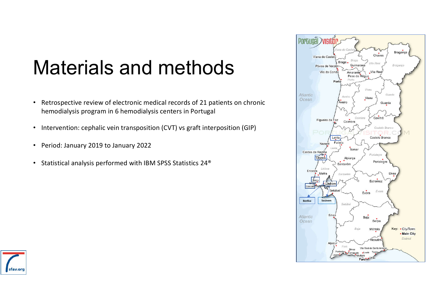# Materials and methods

- Retrospective review of electronic medical records of 21 patients on chronic hemodialysis program in 6 hemodialysis centers in Portugal
- Intervention: cephalic vein transposition (CVT) vs graft interposition (GIP)
- Period: January 2019 to January 2022
- Statistical analysis performed with IBM SPSS Statistics 24®



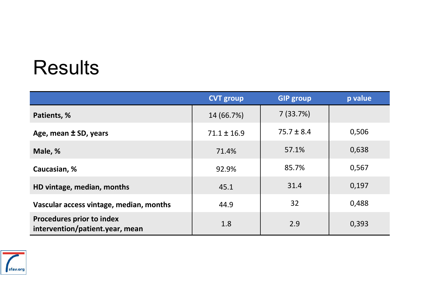# **Results**

|                                                                     | <b>CVT group</b> | <b>GIP group</b> | p value |
|---------------------------------------------------------------------|------------------|------------------|---------|
| Patients, %                                                         | 14 (66.7%)       | 7(33.7%)         |         |
| Age, mean ± SD, years                                               | $71.1 \pm 16.9$  | $75.7 \pm 8.4$   | 0,506   |
| Male, %                                                             | 71.4%            | 57.1%            | 0,638   |
| Caucasian, %                                                        | 92.9%            | 85.7%            | 0,567   |
| HD vintage, median, months                                          | 45.1             | 31.4             | 0,197   |
| Vascular access vintage, median, months                             | 44.9             | 32               | 0,488   |
| <b>Procedures prior to index</b><br>intervention/patient.year, mean | 1.8              | 2.9              | 0,393   |

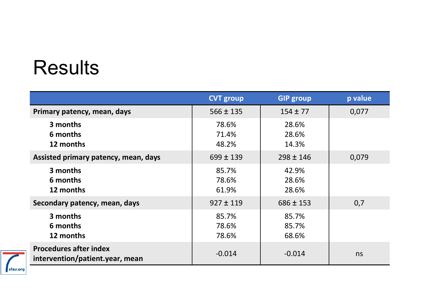# **Results**

|                                                                  | <b>CVT group</b>        | <b>GIP group</b>        | p value |
|------------------------------------------------------------------|-------------------------|-------------------------|---------|
| Primary patency, mean, days                                      | $566 \pm 135$           | $154 \pm 77$            | 0,077   |
| 3 months<br>6 months<br>12 months                                | 78.6%<br>71.4%<br>48.2% | 28.6%<br>28.6%<br>14.3% |         |
| Assisted primary patency, mean, days                             | $699 \pm 139$           | $298 \pm 146$           | 0,079   |
| 3 months<br>6 months<br>12 months                                | 85.7%<br>78.6%<br>61.9% | 42.9%<br>28.6%<br>28.6% |         |
| Secondary patency, mean, days                                    | $927 \pm 119$           | $686 \pm 153$           | 0,7     |
| 3 months<br>6 months<br>12 months                                | 85.7%<br>78.6%<br>78.6% | 85.7%<br>85.7%<br>68.6% |         |
| <b>Procedures after index</b><br>intervention/patient.year, mean | $-0.014$                | $-0.014$                | ns      |

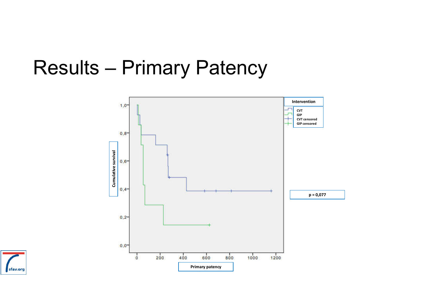### Results – Primary Patency



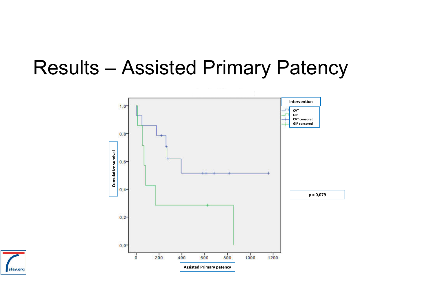#### Results – Assisted Primary Patency



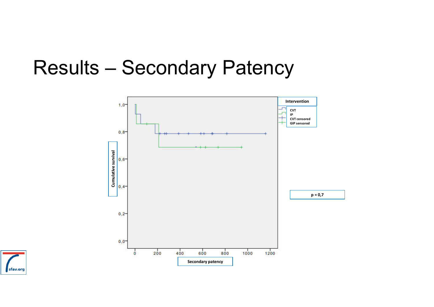#### Results – Secondary Patency



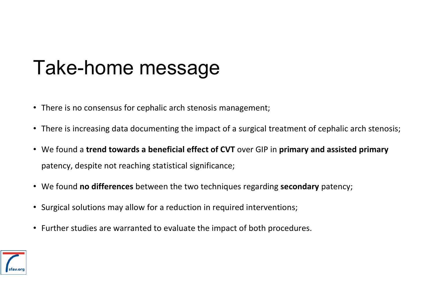# Take-home message

- There is no consensus for cephalic arch stenosis management;
- There is increasing data documenting the impact of a surgical treatment of cephalic arch stenosis;
- We found a **trend towards a beneficial effect of CVT** over GIP in **primary and assisted primary**  patency, despite not reaching statistical significance;
- We found **no differences** between the two techniques regarding **secondary** patency;
- Surgical solutions may allow for a reduction in required interventions;
- Further studies are warranted to evaluate the impact of both procedures.